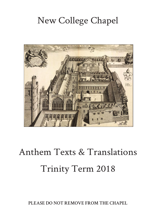## New College Chapel



# Anthem Texts & Translations Trinity Term 2018

**PLEASE DO NOT REMOVE FROM THE CHAPEL**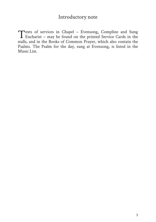### Introductory note

Texts of services in Chapel – Evensong, Compline and Sung<br>Eucharist – may be found on the printed Service Cards in the stalls, and in the Books of Common Prayer, which also contain the Psalms. The Psalm for the day, sung at Evensong, is listed in the Music List.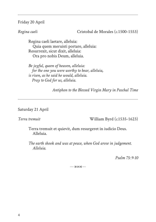#### Friday 20 April

*Regina caeli* Cristobal de Morales (*c*.1500-1553)

Regina caeli laetare, alleluia: Quia quem meruisti portare, alleluia: Resurrexit, sicut dixit, alleluia: Ora pro nobis Deum, alleluia.

*Be joyful, queen of heaven, alleluia: for the one you were worthy to bear, alleluia, is risen, as he said he would, alleluia. Pray to God for us, alleluia.*

*Antiphon to the Blessed Virgin Mary in Paschal Time*

#### Saturday 21 April

*Terra tremuit* William Byrd (*c.*1535-1623)

Terra tremuit et quievit, dum resurgeret in iudicio Deus. Alleluia.

*The earth shook and was at peace, when God arose in judgement. Alleluia.*

*Psalm 75: 9-10*

 $... 8003$  .....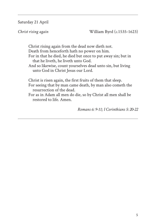Saturday 21 April

*Christ rising again* William Byrd (*c*.1535-1623)

Christ rising again from the dead now dieth not. Death from henceforth hath no power on him. For in that he died, he died but once to put away sin; but in that he liveth, he liveth unto God. And so likewise, count yourselves dead unto sin, but living unto God in Christ Jesus our Lord. Christ is risen again, the first fruits of them that sleep. For seeing that by man came death, by man also cometh the resurrection of the dead.

For as in Adam all men do die, so by Christ all men shall be restored to life. Amen.

*Romans 6: 9-11; I Corinthians 5: 20-22*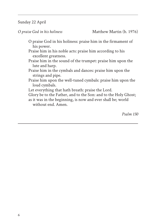#### Sunday 22 April

*O praise God in his holiness* Matthew Martin (b. 1976)

- O praise God in his holiness: praise him in the firmament of his power.
- Praise him in his noble acts: praise him according to his excellent greatness.
- Praise him in the sound of the trumpet: praise him upon the lute and harp.
- Praise him in the cymbals and dances: praise him upon the strings and pipe.
- Praise him upon the well-tuned cymbals: praise him upon the loud cymbals.
- Let everything that hath breath: praise the Lord.

Glory be to the Father, and to the Son: and to the Holy Ghost; as it was in the beginning, is now and ever shall be; world without end. Amen.

*Psalm 150*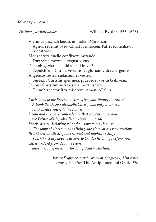### Monday 23 April

*Victimae paschali laudes* William Byrd (*c*.1535-1623)

Victimae paschali laudes immolent Christiani. Agnus redemit oves, Christus innocens Patri reconciliavit peccatores. Mors et vita duello conflixere mirando, Dux vitae mortuus, regnat vivus. Dic nobis, Mariae, quid vidisti in via? Sepulchrum Christi viventis, et gloriam vidi resurgentis. Angelicos testes, sudarium et vestes. Surrexit Christus spes mea; praecedet vos in Galilaeam. Scimus Christum surrexisse a mortuis vere. Tu nobis victor Rex miserere. Amen. Alleluia. *Christians, to the Paschal victim offer your thankful praises! A lamb the sheep redeemeth: Christ, who only is sinless, reconcileth sinners to the Father. Death and life have contended in that combat stupendous: the Prince of life, who died, reigns immortal. Speak, Mary, declaring what thou sawest, wayfaring: 'The tomb of Christ, who is living, the glory of his resurrection; Bright angels attesting, the shroud and napkin resting. Yea, Christ my hope is arisen; to Galilee he will go before you.' Christ indeed from death is risen; have mercy upon us, victor King! Amen. Alleluia.*

> *Easter Sequence, attrib. Wipo of Burgundy, 11th cent.; translation after* The Antiphoner and Grail*, 1880*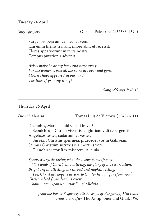Tuesday 24 April

*Surge propera* G. P. da Palestrina (1525/6-1594)

Surge, propera amica mea, et veni. Iam enim hiems transiit; imber abiit et recessit. Flores apparuerunt in terra nostra. Tempus putationis advenit.

*Arise, make haste my love, and come away. For the winter is passed; the rains are over and gone. Flowers have appeared in our land. The time of pruning is nigh.*

*Song of Songs 2: 10-12*

#### Thursday 26 April

*Dic nobis Maria* Tomas Luis de Victoria (1548-1611)

Dic nobis, Mariae, quid vidisti in via?

Sepulchrum Christi viventis, et gloriam vidi resurgentis. Angelicos testes, sudarium et vestes.

Surrexit Christus spes mea; praecedet vos in Galilaeam. Scimus Christum surrexisse a mortuis vere.

Tu nobis victor Rex miserere. Alleluia.

*Speak, Mary, declaring what thou sawest, wayfaring: 'The tomb of Christ, who is living, the glory of his resurrection; Bright angels attesting, the shroud and napkin resting. Yea, Christ my hope is arisen; to Galilee he will go before you.' Christ indeed from death is risen; have mercy upon us, victor King! Alleluia.*

*from the Easter Sequence, attrib. Wipo of Burgundy, 11th cent.; translation after* The Antiphoner and Grail*, 1880*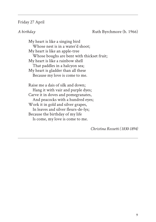#### Friday 27 April

*A birthday* Ruth Byrchmore (b. 1966)

My heart is like a singing bird Whose nest is in a water'd shoot; My heart is like an apple-tree Whose boughs are bent with thickset fruit; My heart is like a rainbow shell That paddles in a halcyon sea; My heart is gladder than all these Because my love is come to me.

Raise me a dais of silk and down; Hang it with vair and purple dyes; Carve it in doves and pomegranates, And peacocks with a hundred eyes; Work it in gold and silver grapes, In leaves and silver fleurs-de-lys; Because the birthday of my life Is come, my love is come to me.

*Christina Rossetti (1830-1894)*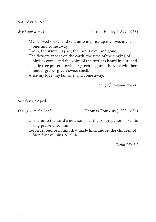Saturday 28 April

*My beloved spake* Patrick Hadley (1899-1973)

My beloved spake, and said unto me, rise up my love, my fair one, and come away. For lo, the winter is past, the rain is over and gone. The flowers appear on the earth, the time of the singing of birds is come, and the voice of the turtle is heard in our land.

The fig tree putteth forth her green figs, and the vine with her tender grapes give a sweet smell.

Arise my love, my fair one, and come away.

*Song of Solomon 2: 10-13*

Sunday 29 April

*O* sing unto the Lord Thomas Tomkins (1572-1656)

O sing unto the Lord a new song: let the congregation of saints sing praise unto him.

Let Israel rejoice in him that made him; and let the children of Sion for ever sing Alleluia.

*Psalm 149: 1-2*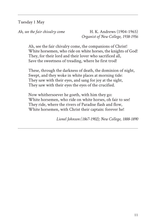Tuesday 1 May

*Ah, see the fair chivalry come* H. K. Andrews (1904-1965) *Organist of New College, 1938-1956*

Ah, see the fair chivalry come, the companions of Christ! White horsemen, who ride on white horses, the knights of God! They, for their lord and their lover who sacrificed all, Save the sweetness of treading, where he first trod!

These, through the darkness of death, the dominion of night, Swept, and they woke in white places at morning tide: They saw with their eyes, and sang for joy at the sight, They saw with their eyes the eyes of the crucified.

Now whithersoever he goeth, with him they go: White horsemen, who ride on white horses, oh fair to see! They ride, where the rivers of Paradise flash and flow, White horsemen, with Christ their captain: forever he!

*Lionel Johnson (1867-1902); New College, 1888-1890*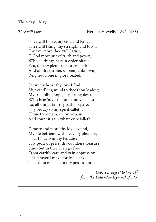#### Thursday 3 May

*Thee will I love* **Herbert Howells** (1892-1983)

Thee will I love, my God and King; Thee will I sing, my strength and tow'r; For evermore thee will I trust, O God most just of truth and pow'r, Who all things hast in order placed, Yea, for thy pleasure hast created; And on thy throne, unseen, unknown, Reignest alone in glory seated.

Set in my heart thy love I find; My wand'ring mind to thee thou leadest; My trembling hope, my strong desire With heav'nly fire thou kindly feedest. Lo, all things fair thy path prepare; Thy beauty to my spirit calleth, Thine to remain, in joy or pain, And count it gain whate'er befalleth.

O more and more thy love extend, My life befriend with heav'nly pleasure, That I may win thy Paradise, Thy pearl of price, thy countless treasure. Since but in thee I can go free From earthly care and vain oppression, This prayer I make for Jesus' sake, That thou me take in thy possession.

> *Robert Bridges (1844-1930) from the Yattendon Hymnal of 1930*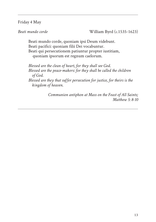Friday 4 May

*Beati mundo corde* William Byrd (*c*.1535-1623)

Beati mundo corde, quoniam ipsi Deum videbunt. Beati pacifici: quoniam filii Dei vocabuntur. Beati qui persecutionem patiuntur propter iustitiam, quoniam ipsorum est regnum caelorum.

*Blessed are the clean of heart, for they shall see God. Blessed are the peace-makers: for they shall be called the children of God.* 

*Blessed are they that suffer persecution for justice, for theirs is the kingdom of heaven*.

> *Communion antiphon at Mass on the Feast of All Saints; Matthew 5: 8-10*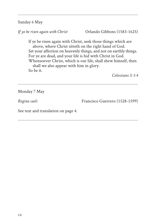Sunday 6 May

*If ye be risen again with Christ* Orlando Gibbons (1583-1625)

If ye be risen again with Christ, seek those things which are above, where Christ sitteth on the right hand of God. Set your affection on heavenly things, and not on earthly things. For ye are dead, and your life is hid with Christ in God. Whensoever Christ, which is our life, shall shew himself, then shall we also appear with him in glory. So be it.

*Colossians 3: 1-4*

Monday 7 May

*Regina caeli* Francisco Guerrero (1528-1599)

See text and translation on page 4.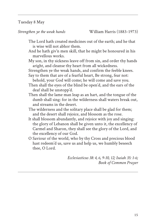### Tuesday 8 May

*Strengthen ye the weak hands* William Harris (1883-1973)

- The Lord hath created medicines out of the earth; and he that is wise will not abhor them.
- And he hath giv'n men skill, that he might be honoured in his marvellous works.
- My son, in thy sickness leave off from sin, and order thy hands aright, and cleanse thy heart from all wickedness.

Strengthen ye the weak hands, and confirm the feeble knees.

- Say to them that are of a fearful heart, Be strong, fear not: behold, your God will come; he will come and save you.
- Then shall the eyes of the blind be open'd, and the ears of the deaf shall be unstopp'd.
- Then shall the lame man leap as an hart, and the tongue of the dumb shall sing: for in the wilderness shall waters break out, and streams in the desert.
- The wilderness and the solitary place shall be glad for them; and the desert shall rejoice, and blossom as the rose.
- It shall blossom abundantly, and rejoice with joy and singing: the glory of Lebanon shall be given unto it, the excellency of Carmel and Sharon, they shall see the glory of the Lord, and the excellency of our God.
- O Saviour of the world, who by thy Cross and precious blood hast redeem'd us, save us and help us, we humbly beseech thee, O Lord.

*Ecclesiasticus 38: 4, 6, 9-10, 12; Isaiah 35: 1-6; Book of Common Prayer*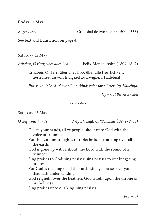Friday 11 May

*Regina caeli* **Cristobal de Morales (***c***.1500-1553**)

See text and translation on page 4.

Saturday 12 May

*Erhaben, O Herr, über alles Lob* Felix Mendelssohn (1809-1847)

Erhaben, O Herr, über alles Lob, über alle Herrlichkeit; herrschest du von Ewigkeit zu Ewigkeit. Halleluja!

*Praise ye, O Lord, above all mankind; ruler for all eternity. Halleluja!*

*Hymn at the Ascension* 

 $... 8003$  .....

### Saturday 12 May

*O clap your hands* Ralph Vaughan Williams (1872-1958)

- O clap your hands, all ye people; shout unto God with the voice of triumph.
- For the Lord most high is terrible: he is a great king over all the earth.
- God is gone up with a shout, the Lord with the sound of a trumpet.
- Sing praises to God; sing praises: sing praises to our king; sing praises.
- For God is the king of all the earth: sing ye praises everyone that hath understanding.
- God reigneth over the heathen; God sitteth upon the throne of his holiness.

Sing praises unto our king, sing praises.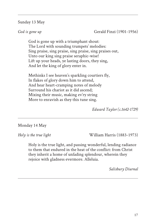### Sunday 13 May

*God is gone up* **Gerald Finzi** (1901-1956)

God is gone up with a triumphant shout: The Lord with sounding trumpets' melodies: Sing praise, sing praise, sing praise, sing praises out, Unto our king sing praise seraphic-wise! Lift up your heads, ye lasting doors, they sing, And let the king of glory enter in.

Methinks I see heaven's sparkling courtiers fly, In flakes of glory down him to attend, And hear heart-cramping notes of melody Surround his chariot as it did ascend; Mixing their music, making ev'ry string More to enravish as they this tune sing.

*Edward Taylor (c.1642-1729)*

### Monday 14 May

*Holy is the true light* **William Harris (1883-1973)** 

Holy is the true light, and passing wonderful, lending radiance to them that endured in the heat of the conflict: from Christ they inherit a home of unfading splendour, wherein they rejoice with gladness evermore. Alleluia.

*Salisbury Diurnal*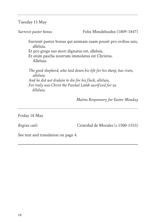Tuesday 15 May

*Surrexit pastor bonus* Felix Mendelssohn (1809-1847)

Surrexit pastor bonus qui animam suam posuit pro ovibus suis, alleluia.

Et pro grege suo mori dignatus est, alleluia.

Et enim pascha nostrum immolatus est Christus. Alleluia.

*The good shepherd, who laid down his life for his sheep, has risen, alleluia. And he did not disdain to die for his flock, alleluia. For truly was Christ the Paschal Lamb sacrificed for us. Alleluia.* 

*Matins Responsory for Easter Monday*

Friday 18 May

*Regina caeli* Cristobal de Morales (*c*.1500-1553)

See text and translation on page 4.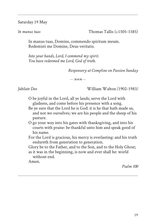Saturday 19 May

*In manus tuas* **Thomas Tallis** (*c.*1505-1585)

In manus tuas, Domine, commendo spiritum meum. Redemisti me Domine, Deus veritatis.

*Into your hands, Lord, I commend my spirit. You have redeemed me Lord, God of truth.*

*Responsory at Compline on Passion Sunday*

 $...$  ......  $8003$  ......

*Jubilate Deo* William Walton *(*1902-1983*)*

O be joyful in the Lord, all ye lands; serve the Lord with gladness, and come before his presence with a song.

Be ye sure that the Lord he is God: it is he that hath made us, and not we ourselves; we are his people and the sheep of his pasture.

O go your way into his gates with thanksgiving, and into his courts with praise: be thankful unto him and speak good of his name.

For the Lord is gracious, his mercy is everlasting: and his truth endureth from generation to generation.

Glory be to the Father, and to the Son, and to the Holy Ghost; as it was in the beginning, is now and ever shall be: world

without end.

Amen.

*Psalm 100*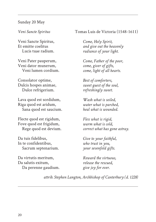#### Sunday 20 May

Veni Sancte Spiritus, Et emitte coelitus Lucis tuae radium.

Veni Pater pauperum, Veni dator munerum, Veni lumen cordium.

Consolator optime, Dulcis hospes animae, Dulce refrigerium.

Lava quod est sordidum, Riga quod est aridum, Sana quod est saucium.

Flecte quod est rigidum, Fove quod est frigidum, Rege quod est devium.

Da tuis fidelibus, In te confidentibus, Sacrum septenarium.

Da virtutis meritum, Da salutis exitum, Da perenne gaudium.

*Veni Sancte Spiritus* Tomas Luis de Victoria (1548-1611)

*Come, Holy Spirit, and give out the heavenly radiance of your light.* 

*Come, Father of the poor, come, giver of gifts, come, light of all hearts.* 

*Best of comforters, sweet guest of the soul, refreshingly sweet.* 

*Wash what is soiled, water what is parched, heal what is wounded.* 

*Flex what is rigid, warm what is cold, correct what has gone astray.* 

*Give to your faithful, who trust in you, your sevenfold gifts.* 

*Reward the virtuous, release the rescued, give joy for ever.* 

*attrib. Stephen Langton, Archbishop of Canterbury (d. 1228)*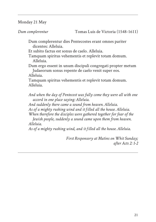Monday 21 May

*Dum complerentur* Tomas Luis de Victoria (1548-1611)

Dum complerentur dies Pentecostes erant omnes pariter dicentes: Alleluia.

Et subito factus est sonus de caelo. Alleluia.

Tamquam spiritus vehementis et replevit totam domum. Alleluia.

Dum ergo essent in unum discipuli congregati propter metum Judaeorum sonus repente de caelo venit super eos.

Alleluia.

Tamquam spiritus vehementis et replevit totam domum. Alleluia.

*And when the day of Pentecost was fully come they were all with one accord in one place saying: Alleluia.*

*And suddenly there came a sound from heaven. Alleluia.*

*As of a mighty rushing wind and it filled all the house. Alleluia.*

*When therefore the disciples were gathered together for fear of the*

*Jewish people, suddenly a sound came upon them from heaven. Alleluia.*

*As of a mighty rushing wind, and it filled all the house. Alleluia.*

*First Responsory at Matins on Whit Sunday; after Acts 2: 1-2*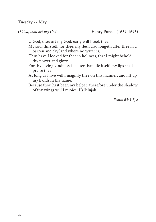Tuesday 22 May

*O God, thou art my God* Henry Purcell (1659-1695)

O God, thou art my God: early will I seek thee.

My soul thirsteth for thee; my flesh also longeth after thee in a barren and dry land where no water is.

- Thus have I looked for thee in holiness, that I might behold thy power and glory.
- For thy loving kindness is better than life itself: my lips shall praise thee.
- As long as I live will I magnify thee on this manner, and lift up my hands in thy name.
- Because thou hast been my helper, therefore under the shadow of thy wings will I rejoice. Hallelujah.

*Psalm 63: 1-5, 8*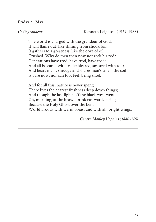### Friday 25 May

*God's grandeur* Kenneth Leighton (1929-1988)

The world is charged with the grandeur of God. It will flame out, like shining from shook foil; It gathers to a greatness, like the ooze of oil Crushed. Why do men then now not reck his rod? Generations have trod, have trod, have trod; And all is seared with trade; bleared, smeared with toil; And bears man's smudge and shares man's smell: the soil Is bare now, nor can foot feel, being shod.

And for all this, nature is never spent; There lives the dearest freshness deep down things; And though the last lights off the black west went Oh, morning, at the brown brink eastward, springs— Because the Holy Ghost over the bent World broods with warm breast and with ah! bright wings.

*Gerard Manley Hopkins (1844-1889)*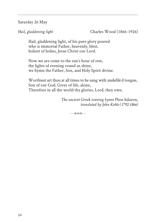Saturday 26 May

*Hail, gladdening light* Charles Wood (1866-1926)

Hail, gladdening light, of his pure glory poured who is immortal Father, heavenly, blest, holiest of holies, Jesus Christ our Lord.

Now we are come to the sun's hour of rest, the lights of evening round us shine, we hymn the Father, Son, and Holy Spirit divine.

Worthiest art thou at all times to be sung with undefilè d tongue, Son of our God, Giver of life, alone, Therefore in all the world thy glories, Lord, they own.

> *The ancient Greek evening hymn* Phos hilaron*, translated by John Keble (1792-1866)*

> > $...$  .....  $x_{0}$  (2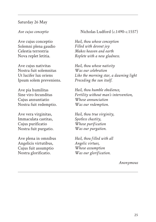#### Saturday 26 May

Ave cujus conceptio Solemni plena gaudio Celestia terrestria Nova replet letitia.

Ave cujus nativitas Nostra fuit solemnitas Ut lucifer lux oriens Ipsum solem preveniens.

Ave pia humilitas Sine viro fecunditas Cujus annuntiatio Nostra fuit redemptio.

Ave vera virginitas, Immaculata castitas, Cujus purificatio Nostra fuit purgatio.

Ave plena in omnibus Angelicis virtutibus, Cujus fuit assumptio Nostra glorificatio.

#### *Ave cujus conceptio* Nicholas Ludford (*c*.1490-*c*.1557)

*Hail, thou whose conception Filled with devout joy Makes heaven and earth Replete with a new gladness.*

*Hail, thou whose nativity Was our celebration Like the morning star, a dawning light Preceding the sun itself.*

*Hail, thou humble obedience, Fertility without man's intervention, Whose annunciation Was our redemption.*

*Hail, thou true virginity, Spotless chastity, Whose purification Was our purgation.*

*Hail, thou filled with all Angelic virtues, Whose assumption Was our glorification.*

*Anonymous*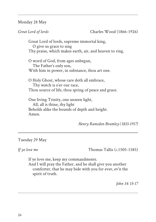Monday 28 May

*Great Lord of lords* Charles Wood (1866-1926)

Great Lord of lords, supreme immortal king, O give us grace to sing Thy praise, which makes earth, air, and heaven to ring.

O word of God, from ages unbegun, The Father's only son, With him in power, in substance, thou art one.

O Holy Ghost, whose care doth all embrace, Thy watch is o'er our race, Thou source of life, thou spring of peace and grace.

One living Trinity, one unseen light, All, all is thine, thy light Beholds alike the bounds of depth and height. Amen.

*Henry Ramsden Bramley (1833-1917)*

Tuesday 29 May

*If ye love me* Thomas Tallis (*c*.1505-1585)

If ye love me, keep my commandments.

And I will pray the Father, and he shall give you another comforter, that he may bide with you for ever, ev'n the spirit of truth.

*John 14: 15-17*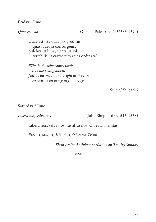### Friday 1 June

*Quae est ista* G. P. da Palestrina (1525/6-1594)

Quae est ista quae progreditur quasi aurora consurgens, pulchra ut luna, electa ut sol, terribilis ut castrorum acies ordinata?

*Who is she who comes forth like the rising dawn, fair as the moon and bright as the sun, terrible as an army in full array?*

*Song of Songs 6: 9*

Saturday 2 June

*Libera nos, salva nos* John Sheppard (*c*.1515-1558)

Libera nos, salva nos, iustifica nos, O beata Trinitas.

*Free us, save us, defend us, O blessed Trinity.*

*Sixth Psalm Antiphon at Matins on Trinity Sunday*

 $...$   $8003$   $...$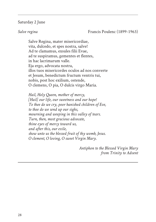#### Saturday 2 June

*Salve regina* Francis Poulenc (1899-1963)

Salve Regina, mater misericordiae, vita, dulcedo, et spes nostra, salve! Ad te clamamus, exsules filii Evae, ad te suspiramus, gementes et flentes, in hac lacrimarum valle. Eja ergo, advocata nostra, illos tuos misericordes oculos ad nos converte et Jesum, benedictum fructum ventris tui, nobis, post hoc exilium, ostende, O clemens, O pia, O dulcis virgo Maria.

*Hail, Holy Queen, mother of mercy, [Hail] our life, our sweetness and our hope! To thee do we cry, poor banished children of Eve, to thee do we send up our sighs, mourning and weeping in this valley of tears. Turn, then, most gracious advocate, thine eyes of mercy toward us, and after this, our exile, show unto us the blessed fruit of thy womb, Jesus. O clement, O loving, O sweet Virgin Mary.*

> *Antiphon to the Blessed Virgin Mary from Trinity to Advent*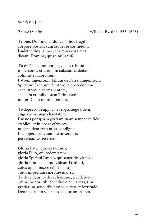### Sunday 3 June

*Tribue Domine* William Byrd (*c*.1535-1623)

Tribue, Domine, ut donec in hoc fragili corpore positus sum laudet te cor meum, laudet te lingua mea, et omnia ossa mea dicant: Domine, quis similis tui?

Tu es Deus omnipotens, quem trinum in personis, et unum in substantia deitatis colimus et adoramus: Patrem ingenitum, Filium de Patre unigenitum, Spiritum Sanctum de utroque procedentem et in utroque permanentem, sanctam et individuam Trinitatem, unum Deum omnipotentem.

Te deprecor, supplico et rogo, auge fidem, auge spem, auge charitatem: Fac nos per ipsam gratiam tuam semper in fide stabiles, et in opere efficaces, ut per fidem rectam, et condigna fidei opera, ad vitam, te miserante, perveniamus aeternam.

Gloria Patri, qui creavit nos, gloria Filio, qui redemit nos: gloria Spiritui Sancto, qui sanctificavit nos: gloria summae et individuae Trinitati, cuius opera inseparabilia sunt, cuius imperium sine fine manet. Te decet laus, te decet hymnus, tibi debetur omnis honor, tibi benedictio et claritas, tibi gratiarum actio, tibi honor, virtus et fortitudo, Deo nostro, in saecula saeculorum, Amen.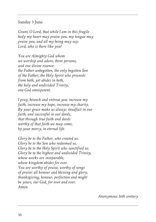### Sunday 3 June

*Grant, O Lord, that while I am in this fragile body my heart may praise you, my tongue may praise you, and all my being may say: Lord, who is there like you?*

*You are Almighty God whom we worship and adore, three persons, and one divine essence: the Father unbegotten, the only begotten Son of the Father, the Holy Spirit who proceeds from both, yet abides in both, the holy and undivided Trinity, one God omnipotent.*

*I pray, beseech and entreat you: increase my faith, increase my hope, increase my charity. By your grace make us always steadfast in our faith, and successful in our deeds, that through true faith and deeds worthy of that faith we may come, by your mercy, to eternal life.*

*Glory be to the Father, who created us. Glory be to the Son who redeemed us. Glory be to the Holy Spirit who sanctified us. Glory be to the highest and undivided Trinity, whose works are inseparable, whose kingdom abides for ever. You are worthy of praise, worthy of songs of praise: all honour and blessing and glory, thanksgiving, honour, perfection and might be yours, our God, for ever and ever. Amen.*

*Anonymous 16th century*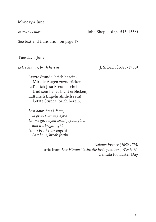### Monday 4 June

*In manus tuas* John Sheppard (*c*.1515-1558)

See text and translation on page 19.

#### Tuesday 5 June

*Letze Stunde, brich herein* J. S. Bach (1685-1750)

Letzte Stunde, brich herein, Mir die Augen zuzudrücken! Laß mich Jesu Freudenschein Und sein helles Licht erblicken, Laß mich Engeln ähnlich sein! Letzte Stunde, brich herein.

*Last hour, break forth, to press close my eyes! Let me gaze upon Jesus' joyous glow and his bright light, let me be like the angels! Last hour, break forth!*

> *Salomo Franck (1659-1725)* aria from *Der Himmel lacht! die Erde jubilieret*, BWV 31 Cantata for Easter Day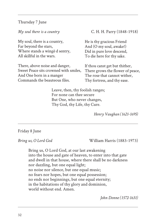Thursday 7 June

My soul, there is a country, Far beyond the stars, Where stands a wingè d sentry, All skillful in the wars.

There, above noise and danger, Sweet Peace sits crowned with smiles, And One born in a manger Commands the beauteous files.

*My soul there is a country* C. H. H. Parry (1848-1918)

He is thy gracious Friend And (O my soul, awake!) Did in pure love descend, To die here for thy sake.

If thou canst get but thither, There grows the flower of peace, The rose that cannot wither, Thy fortress, and thy ease.

Leave, then, thy foolish ranges; For none can thee secure But One, who never changes, Thy God, thy Life, thy Cure.

*Henry Vaughan (1621-1695)*

### Friday 8 June

*Bring us, O Lord God* William Harris (1883-1973)

Bring us, O Lord God, at our last awakening into the house and gate of heaven, to enter into that gate and dwell in that house, where there shall be no darkness nor dazzling, but one equal light; no noise nor silence, but one equal music; no fears nor hopes, but one equal possession; no ends nor beginnings, but one equal eternity; in the habitations of thy glory and dominion, world without end. Amen.

*John Donne (1572-1631)*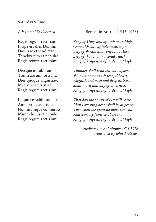### Saturday 9 June

Regis regum rectissimi Prope est dies Domini Dies irae et vindictae, Tenebrarum et nebulae, Regis regum rectissimi.

Diesque mirabilium Tonitruorum fortium, Dies quoque angustiae, Maeroris ac tristiae. Regis regum rectissimi.

In quo cessabit mulierum Amor et desiderium Nominumque contentio Mundi huius et cupido. Regis regum rectissimi.

### *A Hymn of St Columba* Benjamin Britten (1913-1976)

*King of kings and of lords most high, Comes his day of judgement nigh: Day of Wrath and vengeance stark, Day of shadows and cloudy dark, King of kings and of lords most high.*

*Thunder shall rend that day apart, Wonder amaze each fearful heart. Anguish and pain and deep distress Shall mark that day of bitterness. King of kings and of lords most high.*

*That day the pangs of lust will cease, Man's questing heart shall be at peace; Then shall the great no more contend And worldly fame be at an end. King of kings and of lords most high.*

> *attributed to St Columba (521-597); translated by John Andrews*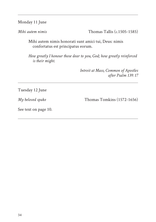Monday 11 June

*Mihi autem nimis* Thomas Tallis (*c*.1505-1585)

Mihi autem nimis honorati sunt amici tui, Deus: nimis confortatus est principatus eorum.

*How greatly I honour those dear to you, God; how greatly reinforced is their might*.

> *Introit at Mass, Common of Apostles after Psalm 139: 17*

Tuesday 12 June

*My beloved spake* Thomas Tomkins (1572-1656)

See text on page 10.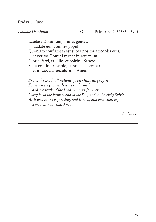#### Friday 15 June

*Laudate Dominum* G. P. da Palestrina (1525/6-1594)

Laudate Dominum, omnes gentes, laudate eum, omnes populi. Quoniam confirmata est super nos misericordia eius, et veritas Domini manet in aeternum. Gloria Patri, et Filio, et Spiritui Sancto. Sicut erat in principio, et nunc, et semper, et in saecula saeculorum. Amen.

*Praise the Lord, all nations, praise him, all peoples. For his mercy towards us is confirmed, and the truth of the Lord remains for ever. Glory be to the Father, and to the Son, and to the Holy Spirit. As it was in the beginning, and is now, and ever shall be, world without end. Amen.*

*Psalm 117*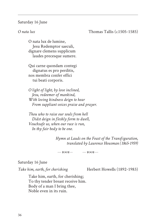#### Saturday 16 June

#### *O nata lux* Thomas Tallis (*c.*1505-1585)

O nata lux de lumine, Jesu Redemptor saeculi, dignare clemens supplicum laudes precesque sumere.

Qui carne quondam contegi dignatus es pro perditis, nos membra confer effici tui beati corporis.

*O light of light, by love inclined, Jesu, redeemer of mankind, With loving kindness deign to hear From suppliant voices praise and prayer.*

*Thou who to raise our souls from hell Didst deign in fleshly form to dwell, Vouchsafe us, when our race is run, In thy fair body to be one.*

> *Hymn at Lauds on the Feast of the Transfiguration, translated by Laurence Housman (1865-1959)*

 $1.18003...$  .....  $8003...$ 

#### Saturday 16 June

Take him, earth, for cherishing **Herbert Howells (1892-1983)** 

Take him, earth, for cherishing; To thy tender breast receive him. Body of a man I bring thee, Noble even in its ruin.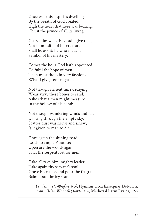Once was this a spirit's dwelling By the breath of God created. High the heart that here was beating. Christ the prince of all its living.

Guard him well, the dead I give thee, Not unmindful of his creature Shall he ask it: he who made it Symbol of his mystery.

Comes the hour God hath appointed To fulfil the hope of men. Then must thou, in very fashion, What I give, return again.

Not though ancient time decaying Wear away these bones to sand, Ashes that a man might measure In the hollow of his hand:

Not though wandering winds and idle, Drifting through the empty sky, Scatter dust was nerve and sinew, Is it given to man to die.

Once again the shining road Leads to ample Paradise; Open are the woods again That the serpent lost for men.

Take, O take him, mighty leader Take again thy servant's soul, Grave his name, and pour the fragrant Balm upon the icy stone.

> *Prudentius (348-after 405),* Hymnus circa Exsequias Defuncti*; trans. Helen Waddell (1889-1965),* Medieval Latin Lyrics*, 1929*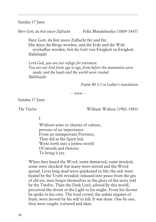Sunday 17 June

*Herr Gott, du bist unsre Zuflucht* Felix Mendelssohn (1809-1847)

Herr Gott, du bist unsre Zuflucht für und für. Ehe denn die Berge worden, und die Erde und die Welt erschaffen worden, bist du Gott von Ewigkeit zu Ewigkeit. Hallelujah!

*Lord God, you are our refuge for evermore. You are our God from age to age, from before the mountains were made, and the lands and the world were created. Hallelujah!*

*Psalm 90: 1-2 in Luther's translation*

 $... 8003$  .....

Sunday 17 June

*The Twelve* William Walton (1902-1983)

I

Without arms or charms of culture, persons of no importance From an unimportant Province, They did as the Spirit bid, Went forth into a joyless world Of swords and rhetoric To bring it joy.

When they heard the Word, some demurred, some mocked, some were shocked: but many were stirred and the Word spread. Lives long dead were quickened to life; the sick were healed by the Truth revealed; released into peace from the gin of old sin, men forgot themselves in the glory of the story told by the Twelve. Then the Dark Lord, adored by this world, perceived the threat of the Light to his might. From his throne he spoke to his own. The loud crowd, the sedate engines of State, were moved by his will to kill. It was done. One by one, they were caught, tortured and slain.